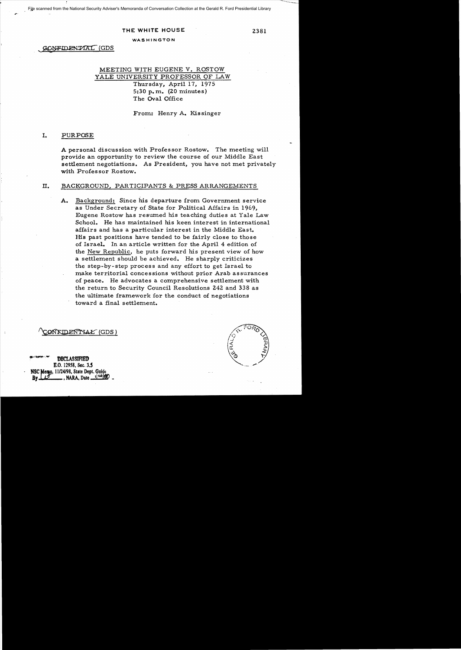File scanned from the National Security Adviser's Memoranda of Conversation Collection at the Gerald R. Ford Presidential Library

#### THE WHITE HOUSE  $2381$

#### WASHINGTON

GONFIDENTAL (GDS

# MEETING WITH EUGENE V. ROSTOW YALE UNIVERSITY PROFESSOR OF LAW Thursday, April 17, 1975 5:30 p.m.  $(20 \text{ minutes})$ The Oval Office

From: Henry A. Kissinger

#### I. PURPOSE

A personal discussion with Professor Rostow. The meeting will provide an opportunity to review the course of our Middle East settlement negotiations. As President, you have not met privately with Professor Rostow.

## II. BACKGROUND, PARTICIPANTS & PRESS ARRANGEMENTS

A. Background: Since his departure from Government service as Under Secretary of State for Political Affairs in 1969, Eugene Rostow has resumed his teaching duties at Yale Law School. He has maintained his keen interest in international affairs and has a particular interest in the Middle East. His past positions have tended to be fairly close to those of Israel. In an article written for the April 4 edition of the New Republic, he puts forward his present view of how a settlement should be achieved. He sharply criticizes the step-by-step process and any effort to get Israel to make territorial concessions without prior Arab assurances of peace. He advocates a comprehensive settlement with the return to Security Council Resolutions 242 and 338 as the ultimate framework for the conduct of negotiations toward a final settlement.

# ON KIDENTYAŁ (GDS)

**DECLASSIFIED** B.O. 12958, Sec. 3.5 NSC Memo, 11/24/98, State Dept. Guide **By A. Date** 120190

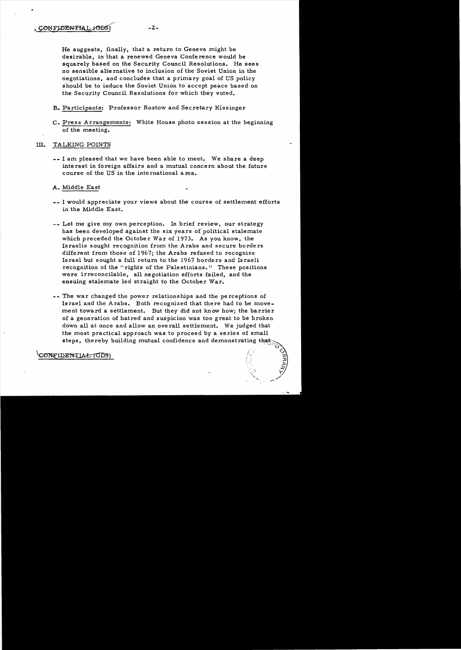He suggests, finally, that a return to Geneva might be desirable, in that a renewed Geneva Conference would be squarely based on the Security Council Resolutions. He sees no sensible alternative to inclusion of the Soviet Union in the negotiations, and concludes that a primary goal of US policy should be to induce the Soviet Union to accept peace based on the Security Council Resolutions for which they voted.

- B. Participants: Professor Rostow and Secretary Kissinger
- C. Press Arrangements: White House photo session at the beginning of the meeting.

## Ill. TALKING POINTS

-- I am pleased that we have been able to meet. We share a deep interest in foreign affairs and a mutual concern about the future course of the US in the inte rnational a rea.

A. Middle East

- -- I would appreciate your views about the course of settlement efforts in the Middle East.
- -- Let me give my own perception. In brief review, our strategy has been developed against the six years of political stalemate which preceded the. October War of 1973. As you know, the Israelis sought recognition from the Arabs and secure borders different from those of 1967; the Arabs refused to recognize Israel but sought a full return to the 1967 borders and Israeli recognition of the "rights of the Palestinians." These positions were irreconcilable, all negotiation efforts failed, and the ensuing stalemate led straight to the October War.
- -- The war changed the power relationships and the perceptions of Israel and the Arabs. Both recognized that there had to be movement toward a settlement. But they did not know how; the barrier of a generation of hatred and suspicion was too great to be broken down all at once and allow an overall settlement. We judged that the most practical approach was to proceed by a series of small steps, thereby building mutual confidence and demonstrating that

1>

)<br>/ J:J

.,...

ONFIDENTIAL (GDS)  $\begin{picture}(100,100) \put(0,0){\line(1,0){100}} \put(10,0){\line(1,0){100}} \put(10,0){\line(1,0){100}} \put(10,0){\line(1,0){100}} \put(10,0){\line(1,0){100}} \put(10,0){\line(1,0){100}} \put(10,0){\line(1,0){100}} \put(10,0){\line(1,0){100}} \put(10,0){\line(1,0){100}} \put(10,0){\line(1,0){100}} \put(10,0){\line(1,0){100$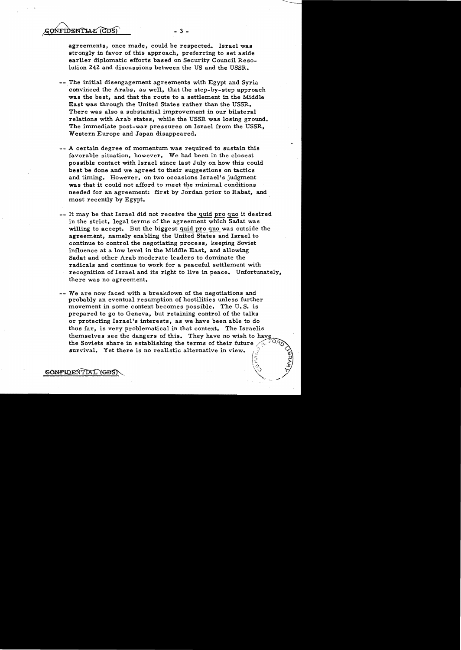- 3

agreements, once made, could be respected. Israel was strongly in favor of this approach, preferring to set aside earlier diplomatic efforts based on Security Council Reso lution 242 and discussions between the US and the USSR.

- -- The initial disengagement agreements with Egypt and Syria convinced the Arabs, as well, that the step-by-step approach was the best, and that the route to a settlement in the Middle East was through the United States rather than the USSR. There was also a substantial improvement in our bilateral relations with Arab states, while the USSR was losing ground. The immediate post-war pressures on Israel from the USSR, Western Europe and Japan disappeared.
- -- A certain degree of momentum was required to sustain this favorable situation, however. We had been in the closest possible contact with Israel since last July on how this could best be done and we agreed to their suggestions on tactics and timing. However, on two occasions Israel's judgment was that it could not afford to meet the minimal conditions needed for an agreement: first by Jordan prior to Rabat, and most recently by Egypt.
- -- It may be that Israel did not receive the quid pro quo it desired in the strict, legal terms of the agreement which Sadat was willing to accept. But the biggest quid pro quo was outside the agreement, namely enabling the United States and Israel to continue to control the negotiating process, keeping Soviet influence at a low level in the Middle East, and allowing Sadat and other Arab moderate leaders to dominate the radicals and continue to work for a peaceful settlement with recognition of Israel and its right to live in peace. Unfortunately, there was no agreement.
- -- We are now faced with a breakdown of the negotiations and probably an eventual resumption of hostilities unless further movement in some context becomes possible. The U. S. is prepared to go to Geneva, but retaining control of the talks or protecting Israel's interests~ as we have been able to do thus far, is very problematical in that context. The Israelis themselves see the dangers of this. They have no wish to have the Soviets share in establishing the terms of their future survival. Yet there is no realistic alternative in view.

 $\mathbb{R}$  .  $\mathbb{R}$  $\sqrt{v}$  .  $\sqrt{v}$  $\sqrt{2}$ 

CONFIDENTIAL YGDS